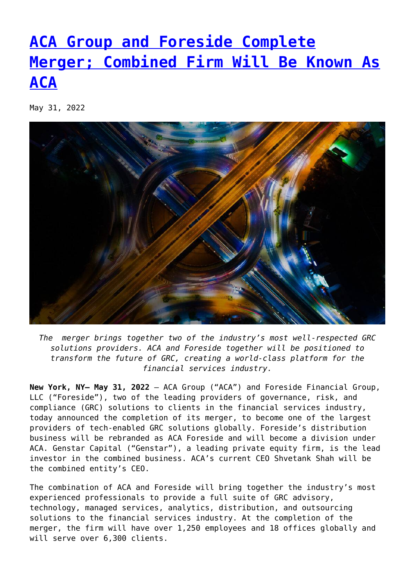## **[ACA Group and Foreside Complete](https://www.foreside.com/news/aca-foreside-complete-merger/) [Merger; Combined Firm Will Be Known As](https://www.foreside.com/news/aca-foreside-complete-merger/) [ACA](https://www.foreside.com/news/aca-foreside-complete-merger/)**

May 31, 2022



*The merger brings together two of the industry's most well-respected GRC solutions providers. ACA and Foreside together will be positioned to transform the future of GRC, creating a world-class platform for the financial services industry.*

**New York, NY– May 31, 2022** – ACA Group ("ACA") and Foreside Financial Group, LLC ("Foreside"), two of the leading providers of governance, risk, and compliance (GRC) solutions to clients in the financial services industry, today announced the completion of its merger, to become one of the largest providers of tech-enabled GRC solutions globally. Foreside's distribution business will be rebranded as ACA Foreside and will become a division under ACA. Genstar Capital ("Genstar"), a leading private equity firm, is the lead investor in the combined business. ACA's current CEO Shvetank Shah will be the combined entity's CEO.

The combination of ACA and Foreside will bring together the industry's most experienced professionals to provide a full suite of GRC advisory, technology, managed services, analytics, distribution, and outsourcing solutions to the financial services industry. At the completion of the merger, the firm will have over 1,250 employees and 18 offices globally and will serve over 6,300 clients.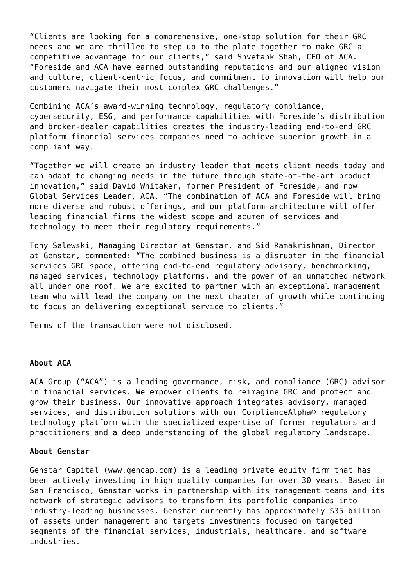"Clients are looking for a comprehensive, one-stop solution for their GRC needs and we are thrilled to step up to the plate together to make GRC a competitive advantage for our clients," said Shvetank Shah, CEO of ACA. "Foreside and ACA have earned outstanding reputations and our aligned vision and culture, client-centric focus, and commitment to innovation will help our customers navigate their most complex GRC challenges."

Combining ACA's award-winning technology, regulatory compliance, cybersecurity, ESG, and performance capabilities with Foreside's distribution and broker-dealer capabilities creates the industry-leading end-to-end GRC platform financial services companies need to achieve superior growth in a compliant way.

"Together we will create an industry leader that meets client needs today and can adapt to changing needs in the future through state-of-the-art product innovation," said David Whitaker, former President of Foreside, and now Global Services Leader, ACA. "The combination of ACA and Foreside will bring more diverse and robust offerings, and our platform architecture will offer leading financial firms the widest scope and acumen of services and technology to meet their regulatory requirements."

Tony Salewski, Managing Director at Genstar, and Sid Ramakrishnan, Director at Genstar, commented: "The combined business is a disrupter in the financial services GRC space, offering end-to-end regulatory advisory, benchmarking, managed services, technology platforms, and the power of an unmatched network all under one roof. We are excited to partner with an exceptional management team who will lead the company on the next chapter of growth while continuing to focus on delivering exceptional service to clients."

Terms of the transaction were not disclosed.

## **About ACA**

ACA Group ("ACA") is a leading governance, risk, and compliance (GRC) advisor in financial services. We empower clients to reimagine GRC and protect and grow their business. Our innovative approach integrates advisory, managed services, and distribution solutions with our ComplianceAlpha® regulatory technology platform with the specialized expertise of former regulators and practitioners and a deep understanding of the global regulatory landscape.

## **About Genstar**

Genstar Capital (www.gencap.com) is a leading private equity firm that has been actively investing in high quality companies for over 30 years. Based in San Francisco, Genstar works in partnership with its management teams and its network of strategic advisors to transform its portfolio companies into industry-leading businesses. Genstar currently has approximately \$35 billion of assets under management and targets investments focused on targeted segments of the financial services, industrials, healthcare, and software industries.